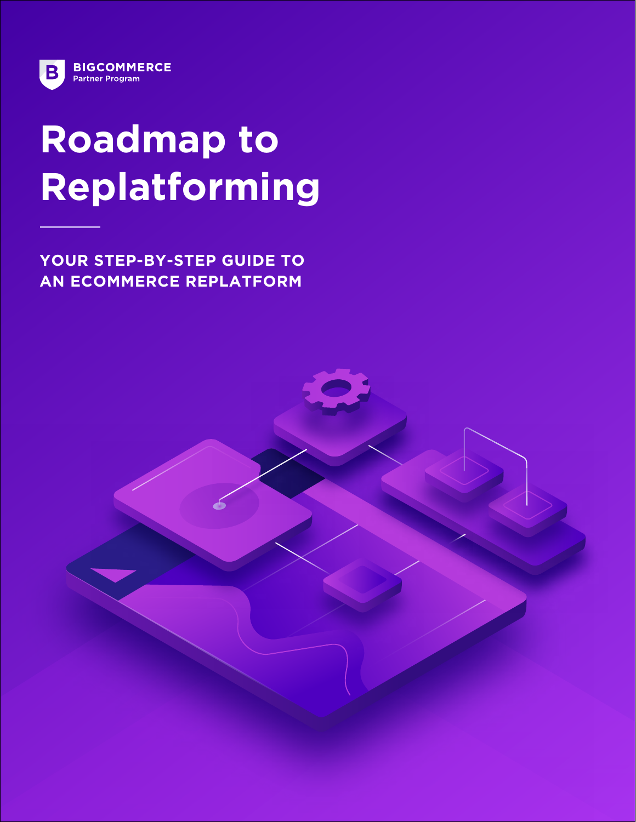

# **Roadmap to Replatforming**

**YOUR STEP-BY-STEP GUIDE TO AN ECOMMERCE REPLATFORM**

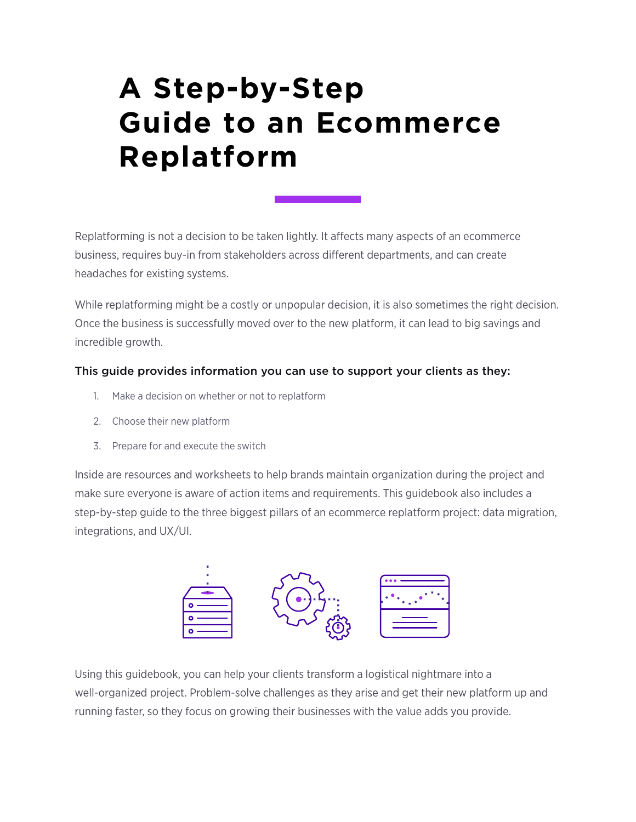# **A Step-by-Step Guide to an Ecommerce Replatform**

Replatforming is not a decision to be taken lightly. It affects many aspects of an ecommerce business, requires buy-in from stakeholders across different departments, and can create headaches for existing systems.

While replatforming might be a costly or unpopular decision, it is also sometimes the right decision. Once the business is successfully moved over to the new platform, it can lead to big savings and incredible growth.

## This guide provides information you can use to support your clients as they:

- 1. Make a decision on whether or not to replatform
- 2. Choose their new platform
- 3. Prepare for and execute the switch

Inside are resources and worksheets to help brands maintain organization during the project and make sure everyone is aware of action items and requirements. This guidebook also includes a step-by-step guide to the three biggest pillars of an ecommerce replatform project: data migration, integrations, and UX/UI.



Using this guidebook, you can help your clients transform a logistical nightmare into a well-organized project. Problem-solve challenges as they arise and get their new platform up and running faster, so they focus on growing their businesses with the value adds you provide.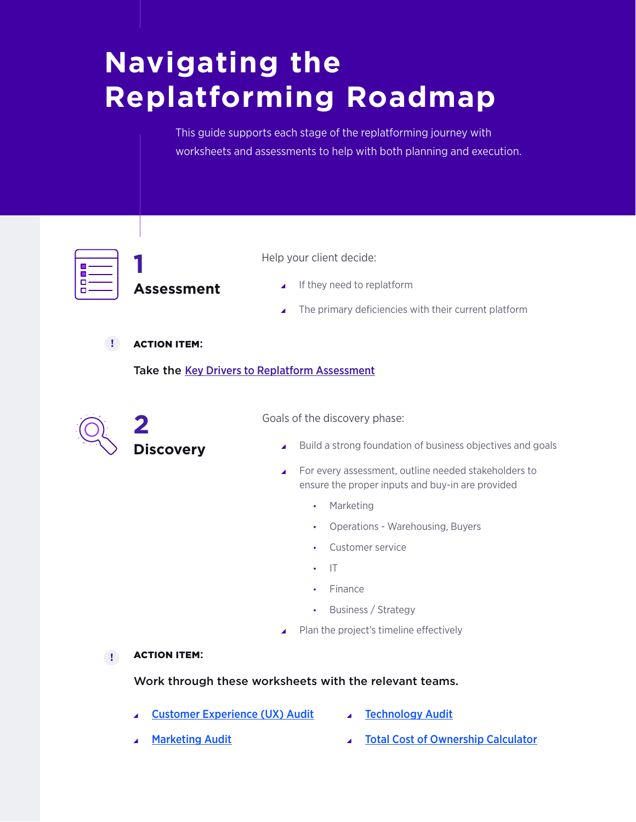This guide supports each stage of the replatforming journey with worksheets and assessments to help with both planning and execution.



**Assessment**

- Help your client decide:
	- $\blacksquare$  If they need to replatform
	- The primary deficiencies with their current platform

ACTION ITEM: **!**

**1** 

Take the [Key Drivers to Replatform Assessment](#page-6-0)



Goals of the discovery phase:

- Build a strong foundation of business objectives and goals
- ▲ For every assessment, outline needed stakeholders to ensure the proper inputs and buy-in are provided
	- Marketing
	- Operations Warehousing, Buyers
	- Customer service
	- IT
	- Finance
	- Business / Strategy
- $\blacktriangle$  Plan the project's timeline effectively

ACTION ITEM: **!**

### Work through these worksheets with the relevant teams.

- \ [Customer Experience \(UX\) Audit](#page-10-0)
- **[Technology Audit](#page-21-0)**

**[Marketing Audit](#page-12-0)** 

**[Total Cost of Ownership Calculator](#page-25-0)**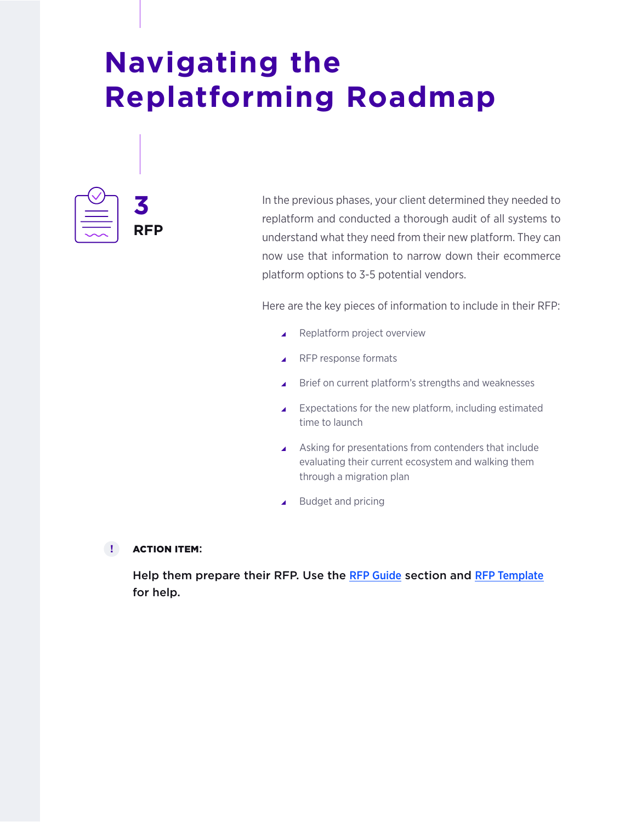

In the previous phases, your client determined they needed to replatform and conducted a thorough audit of all systems to understand what they need from their new platform. They can now use that information to narrow down their ecommerce platform options to 3-5 potential vendors.

Here are the key pieces of information to include in their RFP:

- $\blacktriangle$  Replatform project overview
- $\blacktriangle$  RFP response formats
- $\blacktriangle$  Brief on current platform's strengths and weaknesses
- $\blacktriangle$  Expectations for the new platform, including estimated time to launch
- $\blacktriangle$  Asking for presentations from contenders that include evaluating their current ecosystem and walking them through a migration plan
- \ Budget and pricing

#### ACTION ITEM: **!**

Help them prepare their RFP. Use the [RFP Guide](#page-29-0) section and [RFP Template](https://www.bigcommerce.com/blog/free-ecommerce-rfp-template/) for help.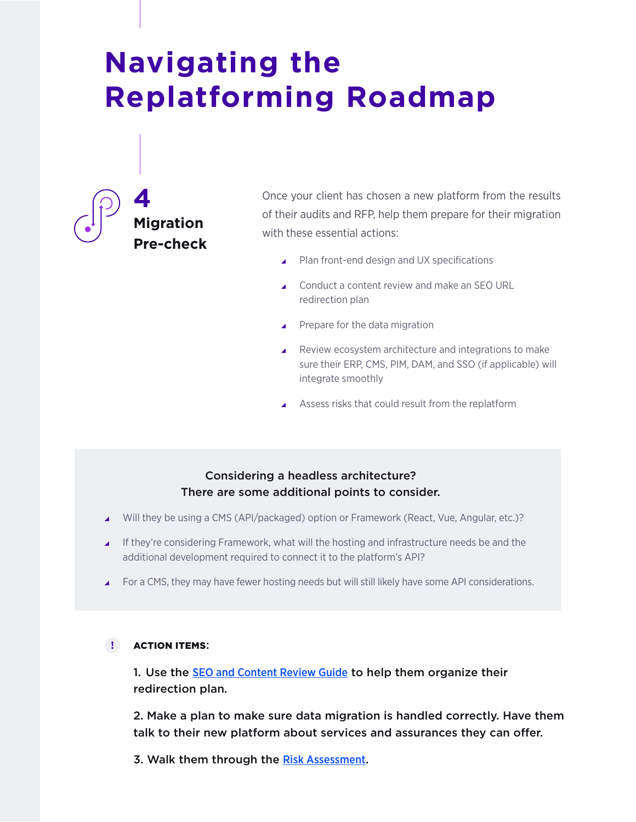

Once your client has chosen a new platform from the results of their audits and RFP, help them prepare for their migration with these essential actions:

- $\blacktriangle$  Plan front-end design and UX specifications
- ▲ Conduct a content review and make an SEO URL redirection plan
- $\blacktriangle$  Prepare for the data migration
- $\blacktriangle$  Review ecosystem architecture and integrations to make sure their ERP, CMS, PIM, DAM, and SSO (if applicable) will integrate smoothly
- Assess risks that could result from the replatform

## Considering a headless architecture? There are some additional points to consider.

- \ Will they be using a CMS (API/packaged) option or Framework (React, Vue, Angular, etc.)?
- \ If they're considering Framework, what will the hosting and infrastructure needs be and the additional development required to connect it to the platform's API?
- For a CMS, they may have fewer hosting needs but will still likely have some API considerations.

#### ACTION ITEMS: **!**

1. Use the **[SEO and Content Review Guide](#page-17-0)** to help them organize their redirection plan.

2. Make a plan to make sure data migration is handled correctly. Have them talk to their new platform about services and assurances they can offer.

3. Walk them through the [Risk Assessment](#page-32-0).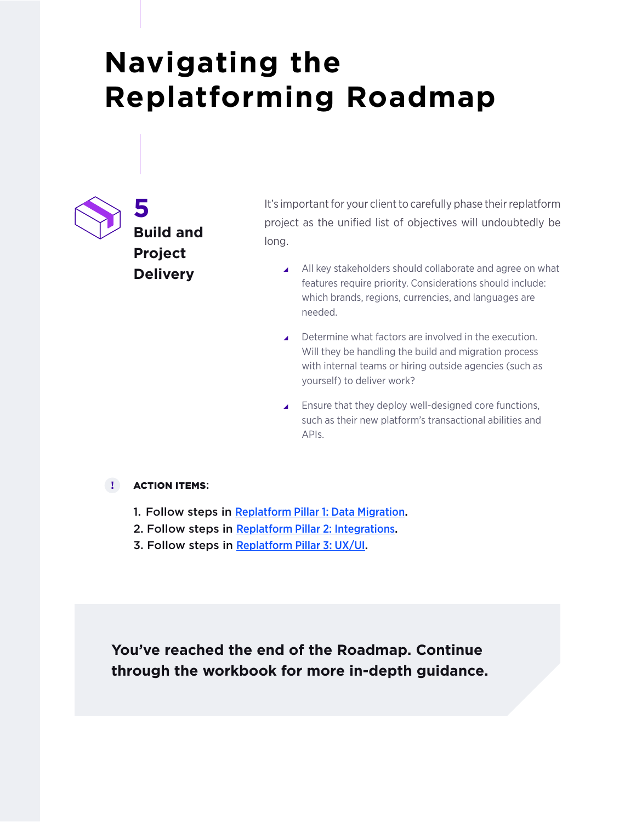

It's important for your client to carefully phase their replatform project as the unified list of objectives will undoubtedly be long.

- All key stakeholders should collaborate and agree on what features require priority. Considerations should include: which brands, regions, currencies, and languages are needed.
- $\blacktriangle$  Determine what factors are involved in the execution. Will they be handling the build and migration process with internal teams or hiring outside agencies (such as yourself) to deliver work?
- $\blacktriangle$  Ensure that they deploy well-designed core functions, such as their new platform's transactional abilities and APIs.

#### ACTION ITEMS: **!**

- 1. Follow steps in [Replatform Pillar 1: Data Migration](#page-37-0).
- 2. Follow steps in [Replatform Pillar 2: Integrations](#page-40-0).
- 3. Follow steps in [Replatform Pillar 3: UX/UI](#page-42-0).

**You've reached the end of the Roadmap. Continue through the workbook for more in-depth guidance.**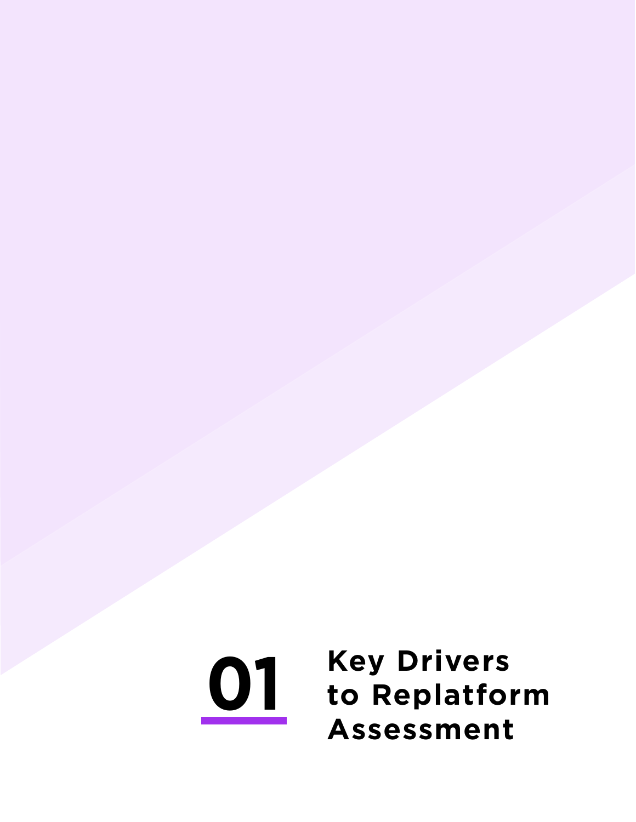# <span id="page-6-0"></span>**01 Key Drivers to Replatform Assessment**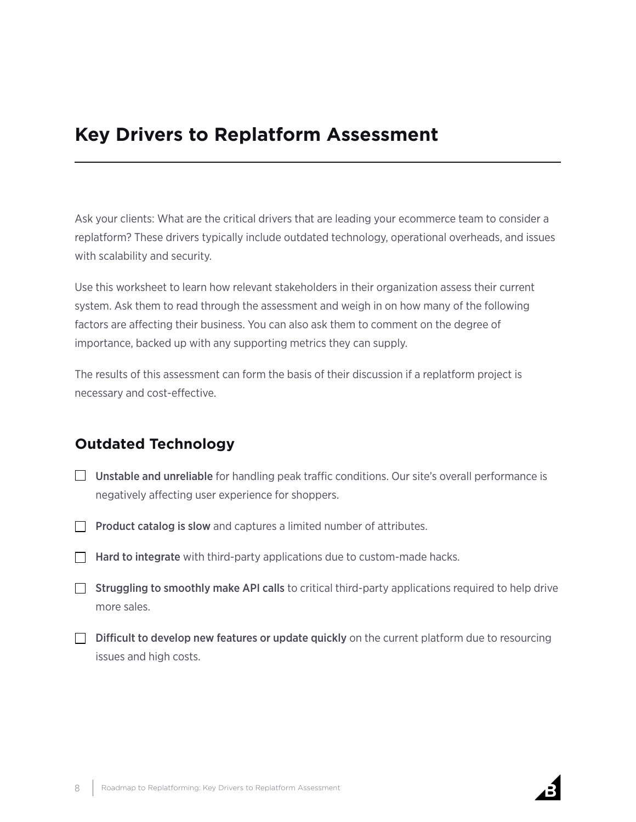## **Key Drivers to Replatform Assessment**

Ask your clients: What are the critical drivers that are leading your ecommerce team to consider a replatform? These drivers typically include outdated technology, operational overheads, and issues with scalability and security.

Use this worksheet to learn how relevant stakeholders in their organization assess their current system. Ask them to read through the assessment and weigh in on how many of the following factors are affecting their business. You can also ask them to comment on the degree of importance, backed up with any supporting metrics they can supply.

The results of this assessment can form the basis of their discussion if a replatform project is necessary and cost-effective.

## **Outdated Technology**

- $\Box$  Unstable and unreliable for handling peak traffic conditions. Our site's overall performance is negatively affecting user experience for shoppers.
- $\Box$  Product catalog is slow and captures a limited number of attributes.
- $\Box$  Hard to integrate with third-party applications due to custom-made hacks.
- $\Box$  Struggling to smoothly make API calls to critical third-party applications required to help drive more sales.
- $\Box$  Difficult to develop new features or update quickly on the current platform due to resourcing issues and high costs.

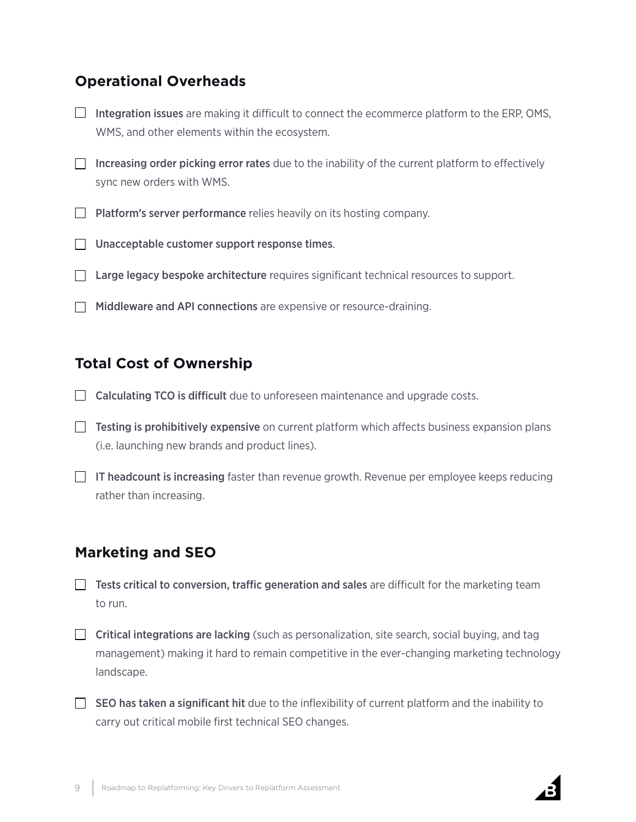## **Operational Overheads**

- $\Box$  Integration issues are making it difficult to connect the ecommerce platform to the ERP, OMS, WMS, and other elements within the ecosystem.
- $\Box$  Increasing order picking error rates due to the inability of the current platform to effectively sync new orders with WMS.
- $\Box$  Platform's server performance relies heavily on its hosting company.
- **Unacceptable customer support response times.**
- $\Box$  Large legacy bespoke architecture requires significant technical resources to support.
- $\Box$  Middleware and API connections are expensive or resource-draining.

## **Total Cost of Ownership**

- Calculating TCO is difficult due to unforeseen maintenance and upgrade costs.
- $\Box$  Testing is prohibitively expensive on current platform which affects business expansion plans (i.e. launching new brands and product lines).
- $\Box$  IT headcount is increasing faster than revenue growth. Revenue per employee keeps reducing rather than increasing.

## **Marketing and SEO**

- $\Box$  Tests critical to conversion, traffic generation and sales are difficult for the marketing team to run.
- $\Box$  Critical integrations are lacking (such as personalization, site search, social buying, and tag management) making it hard to remain competitive in the ever-changing marketing technology landscape.
- $\Box$  SEO has taken a significant hit due to the inflexibility of current platform and the inability to carry out critical mobile first technical SEO changes.

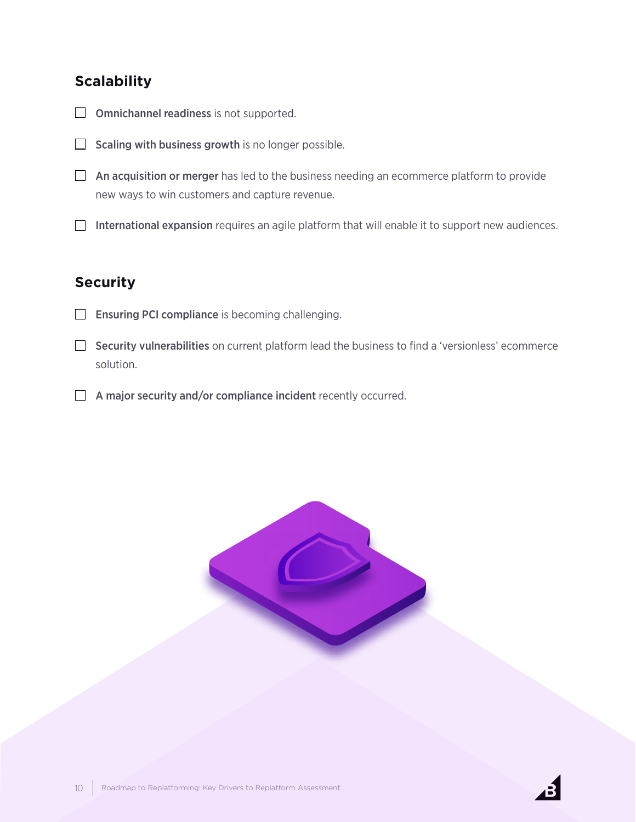## **Scalability**

- $\Box$  Omnichannel readiness is not supported.
- Scaling with business growth is no longer possible.  $\Box$
- $\Box$  An acquisition or merger has led to the business needing an ecommerce platform to provide new ways to win customers and capture revenue.
- $\Box$  International expansion requires an agile platform that will enable it to support new audiences.

## **Security**

- $\Box$ Ensuring PCI compliance is becoming challenging.
- $\Box$  Security vulnerabilities on current platform lead the business to find a 'versionless' ecommerce solution.
- A major security and/or compliance incident recently occurred.



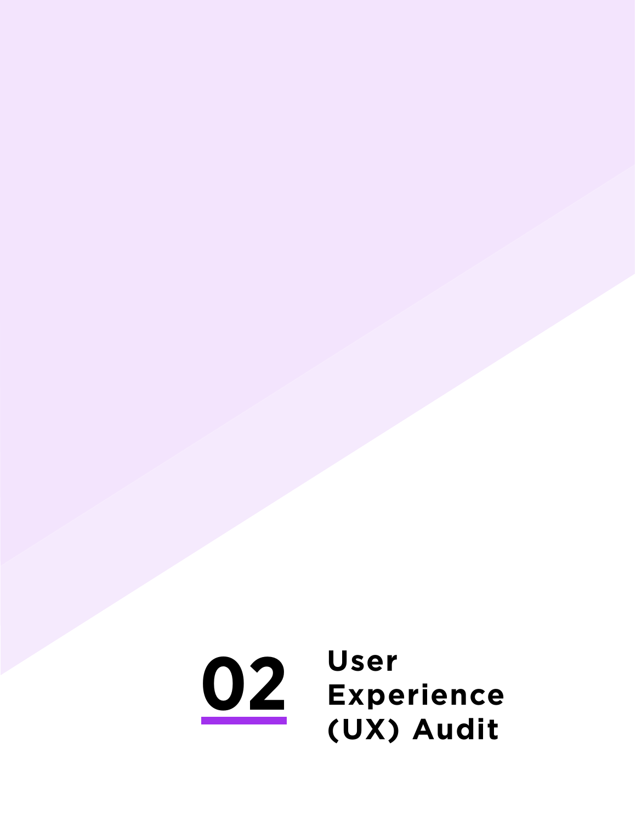<span id="page-10-0"></span>**02 User Experience (UX) Audit**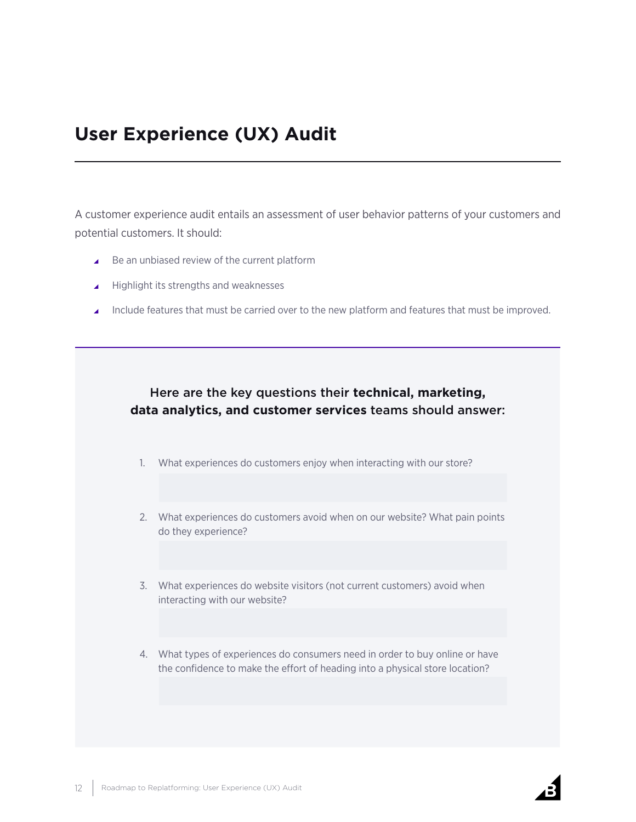## **User Experience (UX) Audit**

A customer experience audit entails an assessment of user behavior patterns of your customers and potential customers. It should:

- $\triangle$  Be an unbiased review of the current platform
- $\blacktriangle$  Highlight its strengths and weaknesses
- Include features that must be carried over to the new platform and features that must be improved.

## Here are the key questions their **technical, marketing, data analytics, and customer services** teams should answer:

- 1. What experiences do customers enjoy when interacting with our store?
- 2. What experiences do customers avoid when on our website? What pain points do they experience?
- 3. What experiences do website visitors (not current customers) avoid when interacting with our website?
- 4. What types of experiences do consumers need in order to buy online or have the confidence to make the effort of heading into a physical store location?

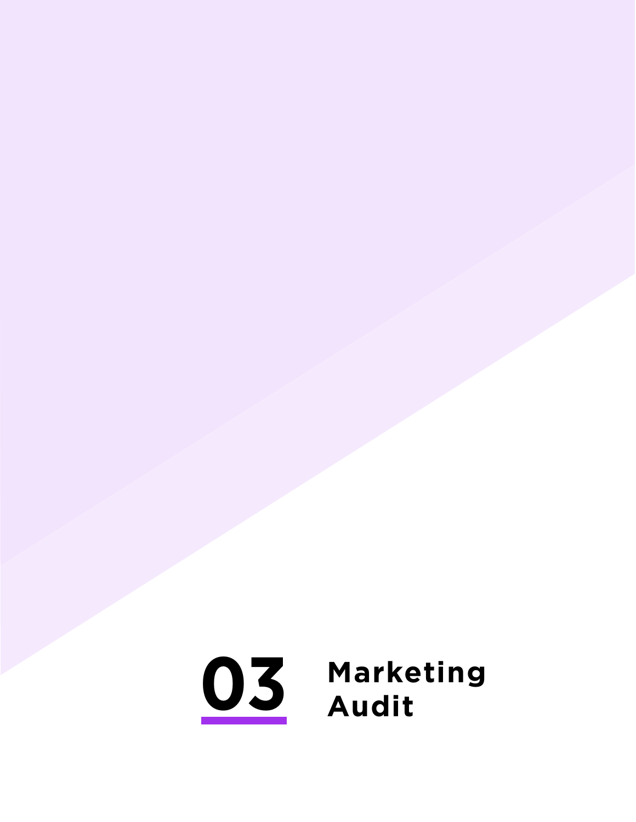# <span id="page-12-0"></span>**Marketing Audit**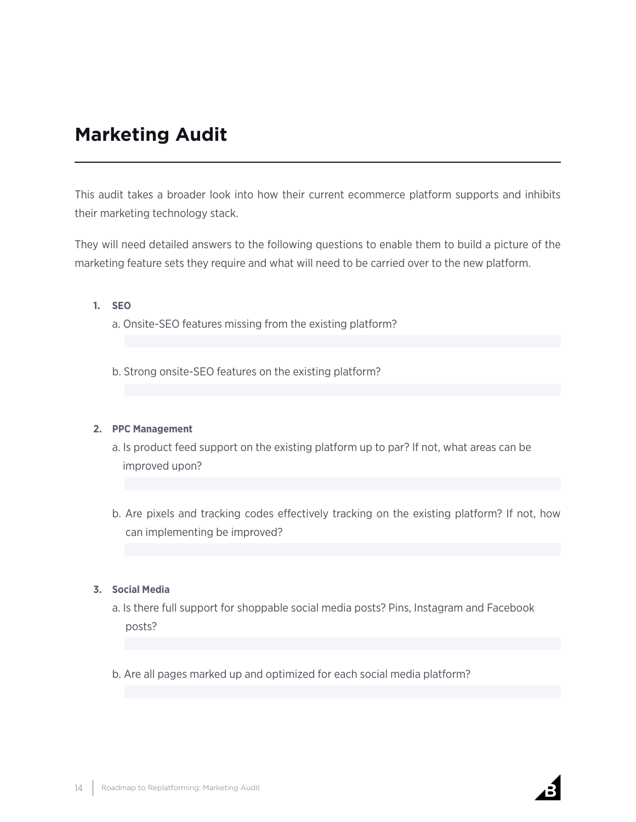## **Marketing Audit**

This audit takes a broader look into how their current ecommerce platform supports and inhibits their marketing technology stack.

They will need detailed answers to the following questions to enable them to build a picture of the marketing feature sets they require and what will need to be carried over to the new platform.

#### **1. SEO**

a. Onsite-SEO features missing from the existing platform?

b. Strong onsite-SEO features on the existing platform?

#### **2. PPC Management**

- a. Is product feed support on the existing platform up to par? If not, what areas can be improved upon?
- b. Are pixels and tracking codes effectively tracking on the existing platform? If not, how can implementing be improved?

#### **3. Social Media**

- a. Is there full support for shoppable social media posts? Pins, Instagram and Facebook posts?
- b. Are all pages marked up and optimized for each social media platform?

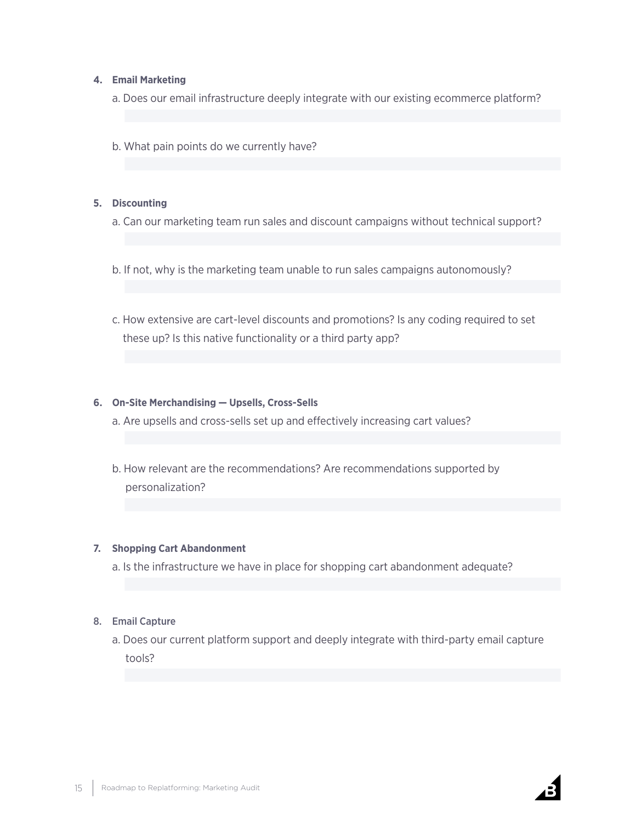#### **4. Email Marketing**

a. Does our email infrastructure deeply integrate with our existing ecommerce platform?

b. What pain points do we currently have?

#### **5. Discounting**

- a. Can our marketing team run sales and discount campaigns without technical support?
- b. If not, why is the marketing team unable to run sales campaigns autonomously?
- c. How extensive are cart-level discounts and promotions? Is any coding required to set these up? Is this native functionality or a third party app?

#### **6. On-Site Merchandising — Upsells, Cross-Sells**

a. Are upsells and cross-sells set up and effectively increasing cart values?

b. How relevant are the recommendations? Are recommendations supported by personalization?

#### **7. Shopping Cart Abandonment**

a. Is the infrastructure we have in place for shopping cart abandonment adequate?

#### 8. Email Capture

a. Does our current platform support and deeply integrate with third-party email capture tools?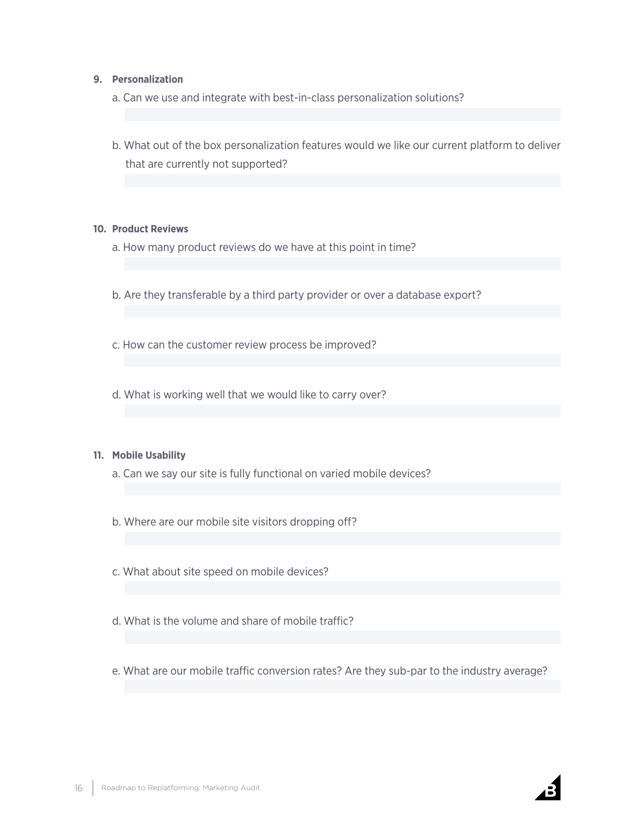#### **9. Personalization**

- a. Can we use and integrate with best-in-class personalization solutions?
- b. What out of the box personalization features would we like our current platform to deliver that are currently not supported?

#### **10. Product Reviews**

- a. How many product reviews do we have at this point in time?
- b. Are they transferable by a third party provider or over a database export?
- c. How can the customer review process be improved?
- d. What is working well that we would like to carry over?

#### **11. Mobile Usability**

- a. Can we say our site is fully functional on varied mobile devices?
- b. Where are our mobile site visitors dropping off?
- c. What about site speed on mobile devices?
- d. What is the volume and share of mobile traffic?
- e. What are our mobile traffic conversion rates? Are they sub-par to the industry average?

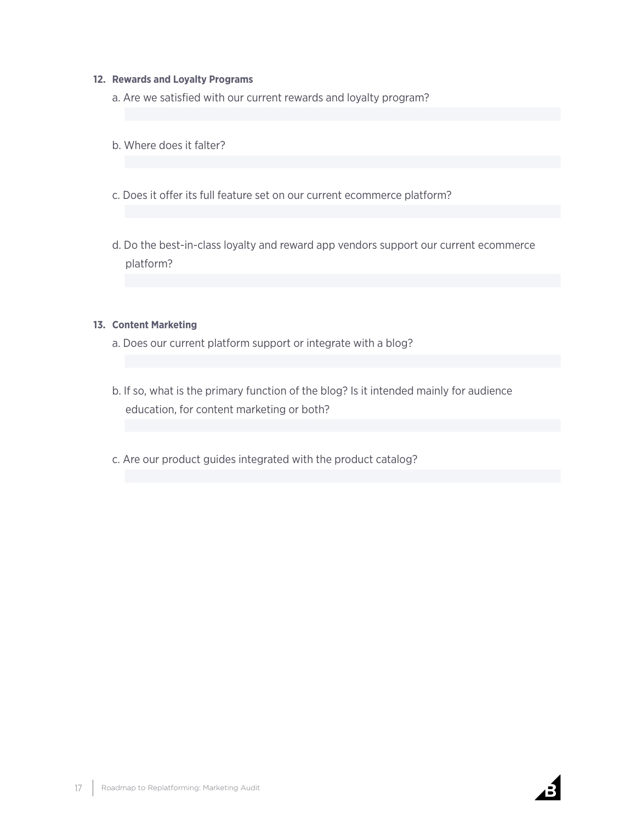#### **12. Rewards and Loyalty Programs**

- a. Are we satisfied with our current rewards and loyalty program?
- b. Where does it falter?
- c. Does it offer its full feature set on our current ecommerce platform?
- d. Do the best-in-class loyalty and reward app vendors support our current ecommerce platform?

#### **13. Content Marketing**

- a. Does our current platform support or integrate with a blog?
- b. If so, what is the primary function of the blog? Is it intended mainly for audience education, for content marketing or both?
- c. Are our product guides integrated with the product catalog?

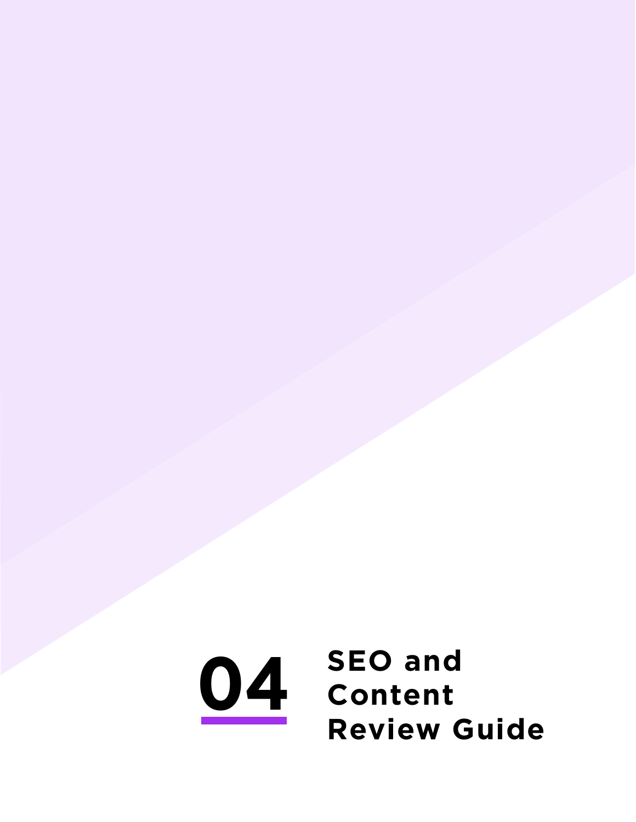<span id="page-17-0"></span>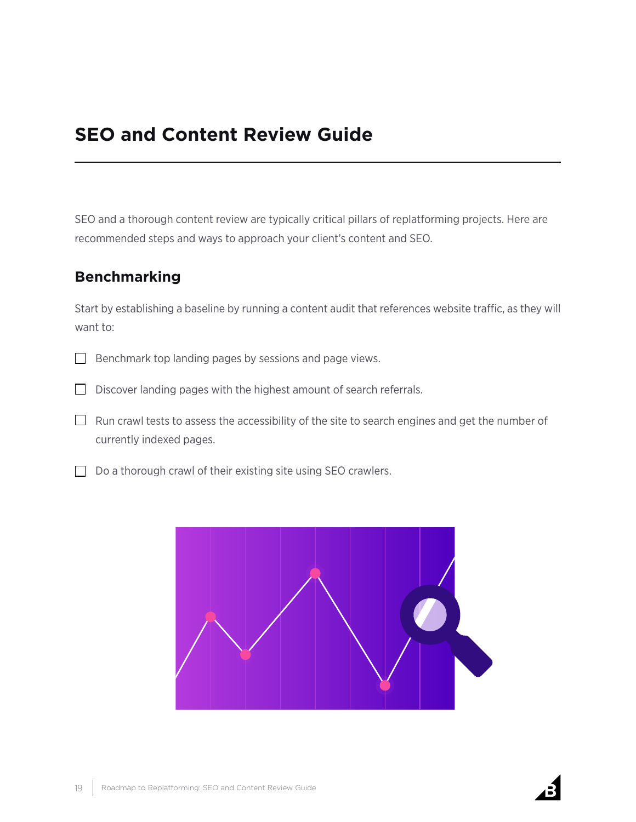## **SEO and Content Review Guide**

SEO and a thorough content review are typically critical pillars of replatforming projects. Here are recommended steps and ways to approach your client's content and SEO.

## **Benchmarking**

Start by establishing a baseline by running a content audit that references website traffic, as they will want to:

- $\Box$ Benchmark top landing pages by sessions and page views.
- $\Box$  Discover landing pages with the highest amount of search referrals.
- $\Box$  Run crawl tests to assess the accessibility of the site to search engines and get the number of currently indexed pages.
- $\Box$  Do a thorough crawl of their existing site using SEO crawlers.



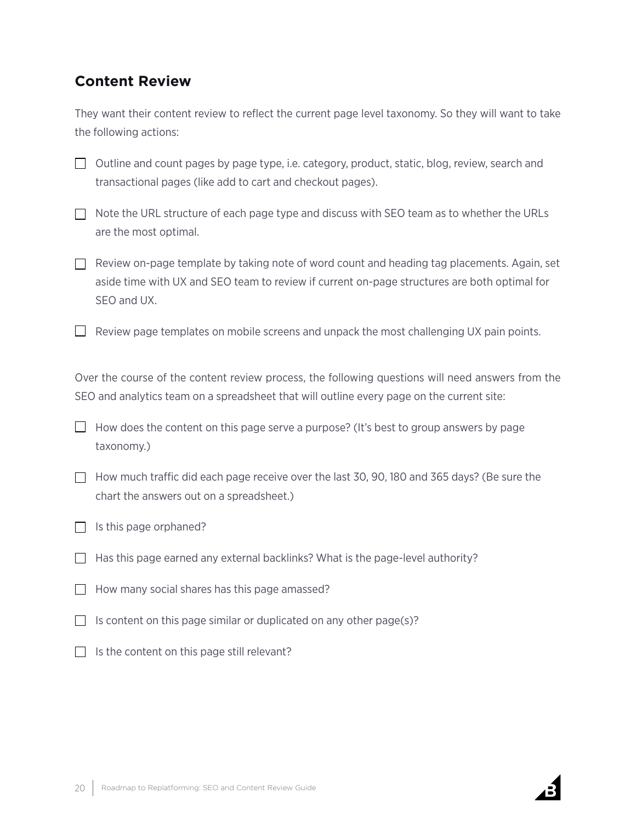## **Content Review**

They want their content review to reflect the current page level taxonomy. So they will want to take the following actions:

 $\Box$  Outline and count pages by page type, i.e. category, product, static, blog, review, search and transactional pages (like add to cart and checkout pages).

 $\Box$  Note the URL structure of each page type and discuss with SEO team as to whether the URLs are the most optimal.

 $\Box$  Review on-page template by taking note of word count and heading tag placements. Again, set aside time with UX and SEO team to review if current on-page structures are both optimal for SEO and UX.

 $\Box$  Review page templates on mobile screens and unpack the most challenging UX pain points.

Over the course of the content review process, the following questions will need answers from the SEO and analytics team on a spreadsheet that will outline every page on the current site:

 $\Box$  How does the content on this page serve a purpose? (It's best to group answers by page taxonomy.)

- $\Box$  How much traffic did each page receive over the last 30, 90, 180 and 365 days? (Be sure the chart the answers out on a spreadsheet.)
- $\Box$  Is this page orphaned?
- $\Box$  Has this page earned any external backlinks? What is the page-level authority?
- $\Box$  How many social shares has this page amassed?
- $\Box$  Is content on this page similar or duplicated on any other page(s)?
- $\Box$  Is the content on this page still relevant?

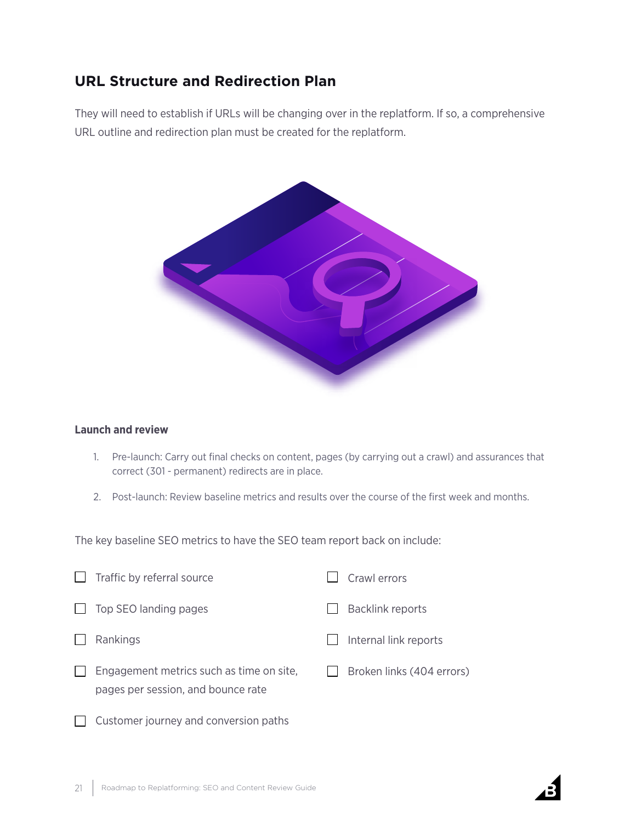## **URL Structure and Redirection Plan**

They will need to establish if URLs will be changing over in the replatform. If so, a comprehensive URL outline and redirection plan must be created for the replatform.



#### **Launch and review**

- 1. Pre-launch: Carry out final checks on content, pages (by carrying out a crawl) and assurances that correct (301 - permanent) redirects are in place.
- 2. Post-launch: Review baseline metrics and results over the course of the first week and months.

The key baseline SEO metrics to have the SEO team report back on include:

|              | Traffic by referral source                                                     | Crawl errors              |
|--------------|--------------------------------------------------------------------------------|---------------------------|
| $\mathbf{I}$ | Top SEO landing pages                                                          | <b>Backlink reports</b>   |
|              | Rankings                                                                       | Internal link reports     |
|              | Engagement metrics such as time on site,<br>pages per session, and bounce rate | Broken links (404 errors) |

 $\Box$  Customer journey and conversion paths

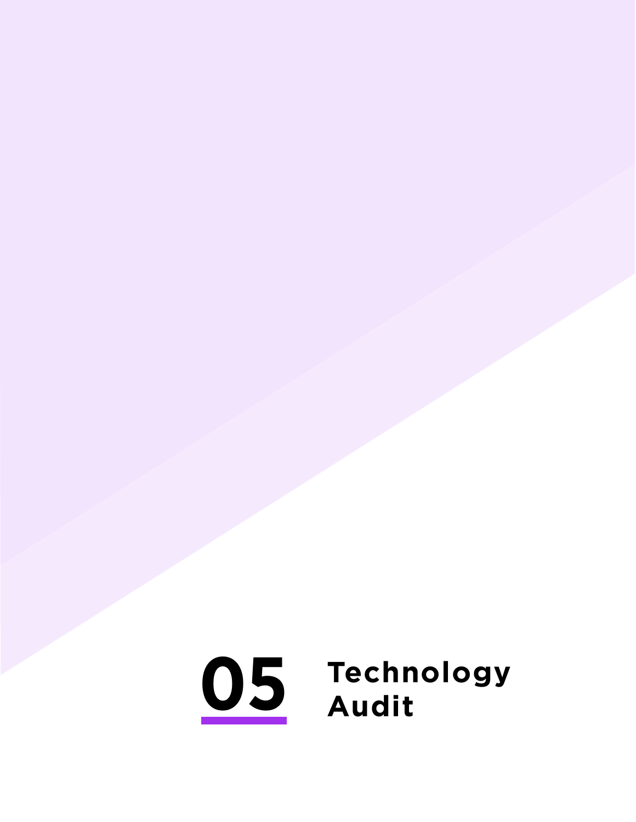# <span id="page-21-0"></span>**Technology Audit**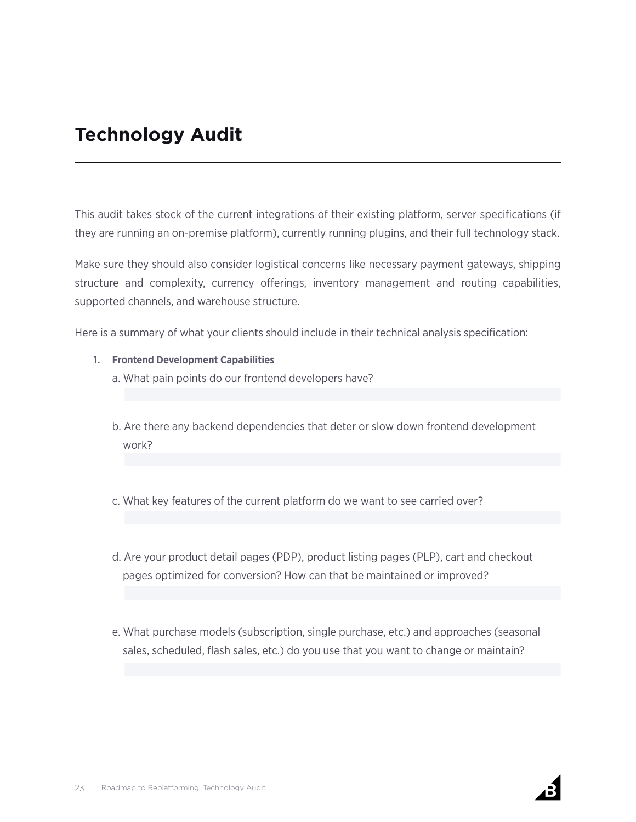## **Technology Audit**

This audit takes stock of the current integrations of their existing platform, server specifications (if they are running an on-premise platform), currently running plugins, and their full technology stack.

Make sure they should also consider logistical concerns like necessary payment gateways, shipping structure and complexity, currency offerings, inventory management and routing capabilities, supported channels, and warehouse structure.

Here is a summary of what your clients should include in their technical analysis specification:

- **1. Frontend Development Capabilities** 
	- a. What pain points do our frontend developers have?
	- b. Are there any backend dependencies that deter or slow down frontend development work?
	- c. What key features of the current platform do we want to see carried over?
	- d. Are your product detail pages (PDP), product listing pages (PLP), cart and checkout pages optimized for conversion? How can that be maintained or improved?
	- e. What purchase models (subscription, single purchase, etc.) and approaches (seasonal sales, scheduled, flash sales, etc.) do you use that you want to change or maintain?

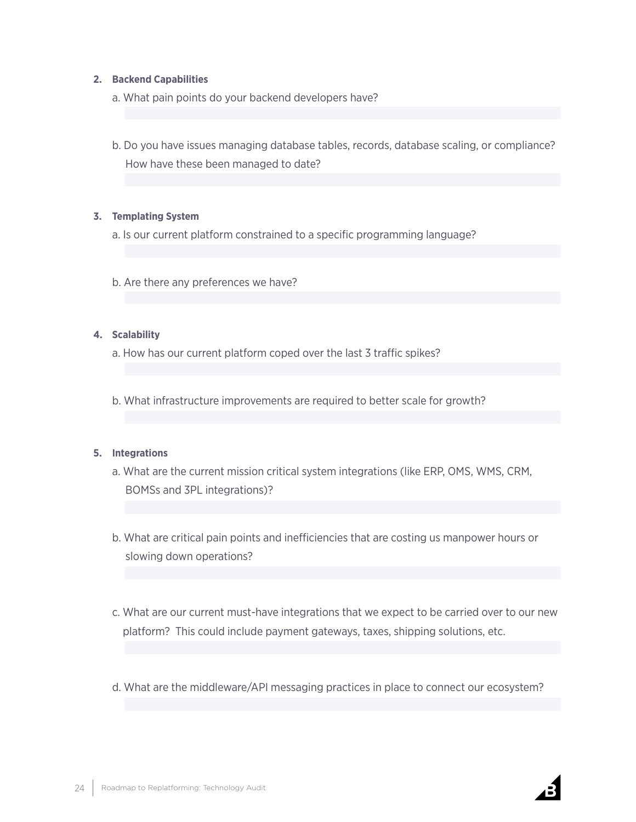#### **2. Backend Capabilities**

- a. What pain points do your backend developers have?
- b. Do you have issues managing database tables, records, database scaling, or compliance? How have these been managed to date?

#### **3. Templating System**

a. Is our current platform constrained to a specific programming language?

b. Are there any preferences we have?

#### **4. Scalability**

- a. How has our current platform coped over the last 3 traffic spikes?
- b. What infrastructure improvements are required to better scale for growth?

#### **5. Integrations**

- a. What are the current mission critical system integrations (like ERP, OMS, WMS, CRM, BOMSs and 3PL integrations)?
- b. What are critical pain points and inefficiencies that are costing us manpower hours or slowing down operations?
- c. What are our current must-have integrations that we expect to be carried over to our new platform? This could include payment gateways, taxes, shipping solutions, etc.
- d. What are the middleware/API messaging practices in place to connect our ecosystem?

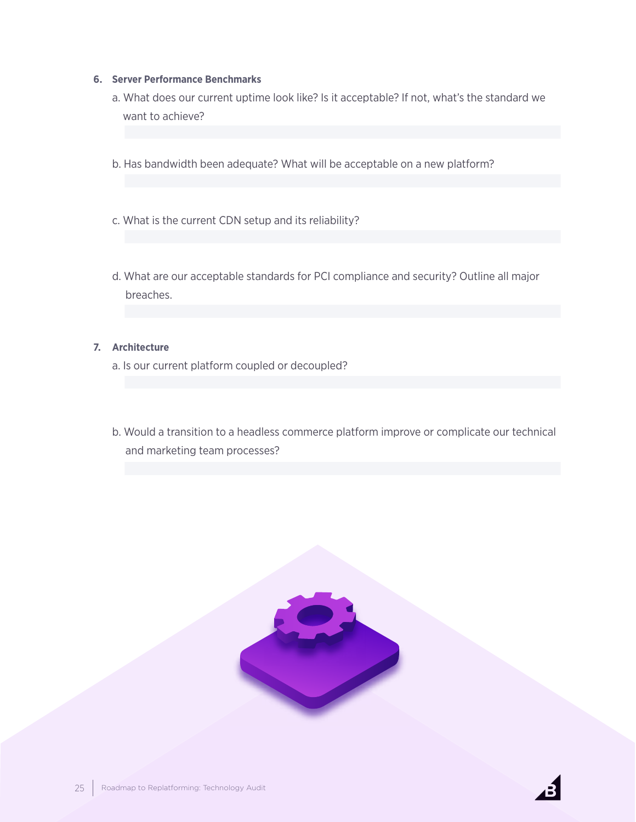#### **6. Server Performance Benchmarks**

- a. What does our current uptime look like? Is it acceptable? If not, what's the standard we want to achieve?
- b. Has bandwidth been adequate? What will be acceptable on a new platform?
- c. What is the current CDN setup and its reliability?
- d. What are our acceptable standards for PCI compliance and security? Outline all major breaches.

#### **7. Architecture**

- a. Is our current platform coupled or decoupled?
- b. Would a transition to a headless commerce platform improve or complicate our technical and marketing team processes?



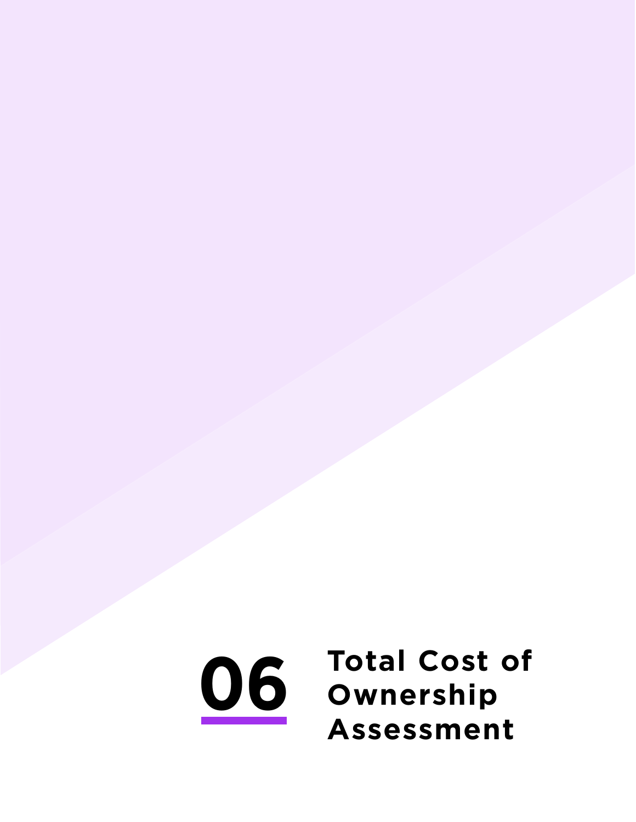<span id="page-25-0"></span>**06 Total Cost of Ownership Assessment**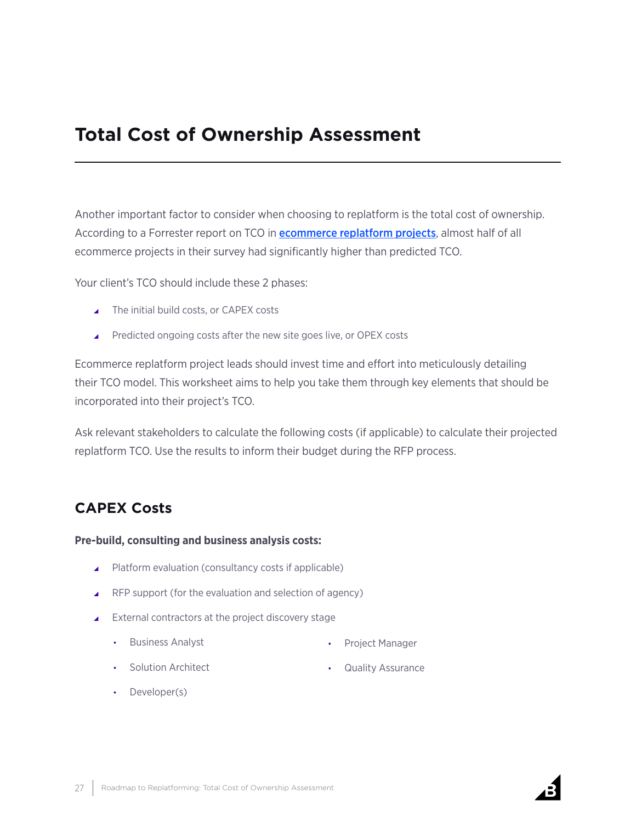## **Total Cost of Ownership Assessment**

Another important factor to consider when choosing to replatform is the total cost of ownership. According to a Forrester report on TCO in **[ecommerce replatform projects](https://img.en25.com/Web/DemandwareInc/%7B7a37e7be-9c0b-41c8-9c4e-837a51e78057%7D_Forrester_TCO_Comparison.pdf)**, almost half of all ecommerce projects in their survey had significantly higher than predicted TCO.

Your client's TCO should include these 2 phases:

- $\triangle$  The initial build costs, or CAPEX costs
- ▲ Predicted ongoing costs after the new site goes live, or OPEX costs

Ecommerce replatform project leads should invest time and effort into meticulously detailing their TCO model. This worksheet aims to help you take them through key elements that should be incorporated into their project's TCO.

Ask relevant stakeholders to calculate the following costs (if applicable) to calculate their projected replatform TCO. Use the results to inform their budget during the RFP process.

## **CAPEX Costs**

#### **Pre-build, consulting and business analysis costs:**

- ▲ Platform evaluation (consultancy costs if applicable)
- $\blacktriangle$  RFP support (for the evaluation and selection of agency)
- $\blacktriangle$  External contractors at the project discovery stage
	- Business Analyst
		- Project Manager

• Solution Architect

• Quality Assurance

• Developer(s)

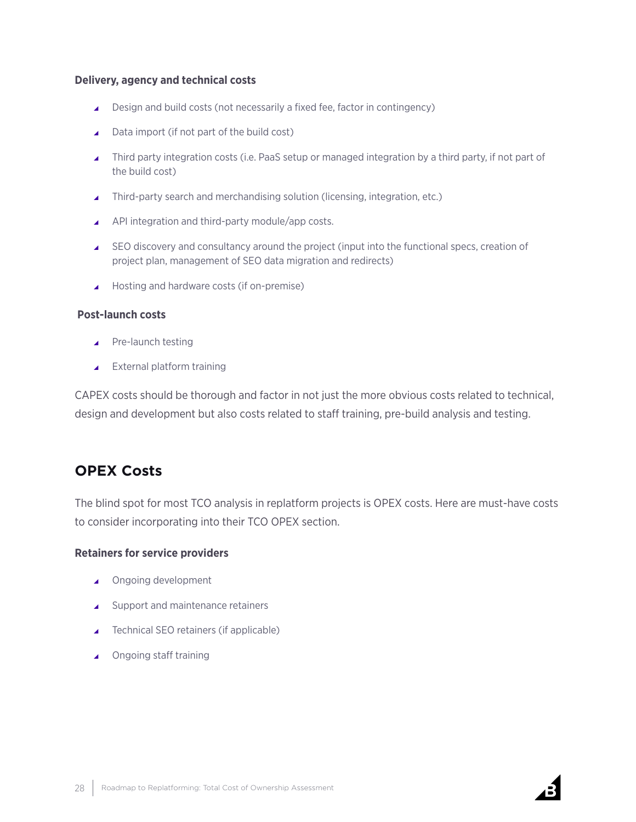#### **Delivery, agency and technical costs**

- ▲ Design and build costs (not necessarily a fixed fee, factor in contingency)
- $\Box$  Data import (if not part of the build cost)
- $\blacktriangle$  Third party integration costs (i.e. PaaS setup or managed integration by a third party, if not part of the build cost)
- $\blacktriangle$  Third-party search and merchandising solution (licensing, integration, etc.)
- ▲ API integration and third-party module/app costs.
- \ SEO discovery and consultancy around the project (input into the functional specs, creation of project plan, management of SEO data migration and redirects)
- ▲ Hosting and hardware costs (if on-premise)

#### **Post-launch costs**

- $\blacktriangle$  Pre-launch testing
- $\blacktriangle$  External platform training

CAPEX costs should be thorough and factor in not just the more obvious costs related to technical, design and development but also costs related to staff training, pre-build analysis and testing.

## **OPEX Costs**

The blind spot for most TCO analysis in replatform projects is OPEX costs. Here are must-have costs to consider incorporating into their TCO OPEX section.

#### **Retainers for service providers**

- ▲ Ongoing development
- $\triangle$  Support and maintenance retainers
- $\blacktriangle$  Technical SEO retainers (if applicable)
- ▲ Ongoing staff training

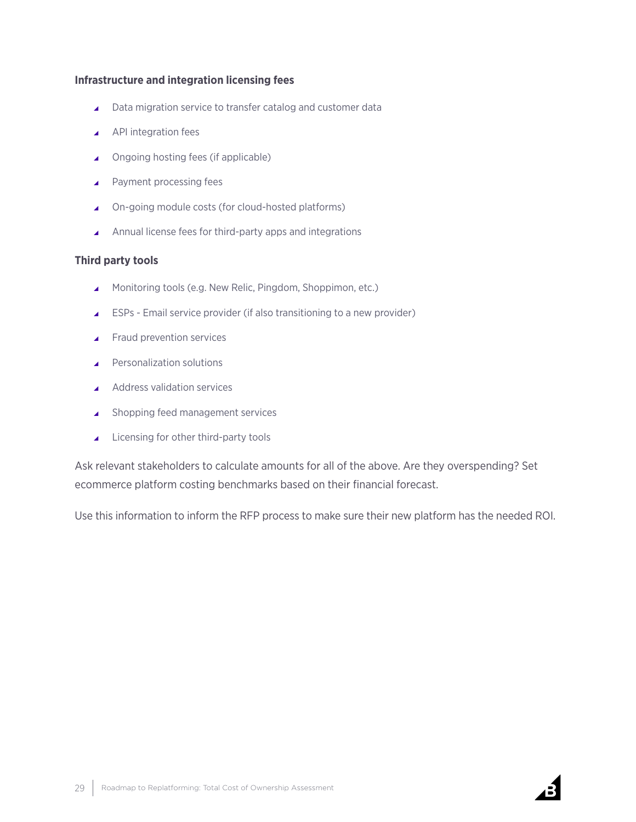#### **Infrastructure and integration licensing fees**

- $\triangle$  Data migration service to transfer catalog and customer data
- $\blacktriangle$  API integration fees
- ▲ Ongoing hosting fees (if applicable)
- $\blacktriangle$  Payment processing fees
- ▲ On-going module costs (for cloud-hosted platforms)
- $\blacktriangle$  Annual license fees for third-party apps and integrations

#### **Third party tools**

- ▲ Monitoring tools (e.g. New Relic, Pingdom, Shoppimon, etc.)
- $\triangle$  ESPs Email service provider (if also transitioning to a new provider)
- $\blacktriangle$  Fraud prevention services
- **A** Personalization solutions
- Address validation services
- $\triangle$  Shopping feed management services
- $\blacktriangle$  Licensing for other third-party tools

Ask relevant stakeholders to calculate amounts for all of the above. Are they overspending? Set ecommerce platform costing benchmarks based on their financial forecast.

Use this information to inform the RFP process to make sure their new platform has the needed ROI.



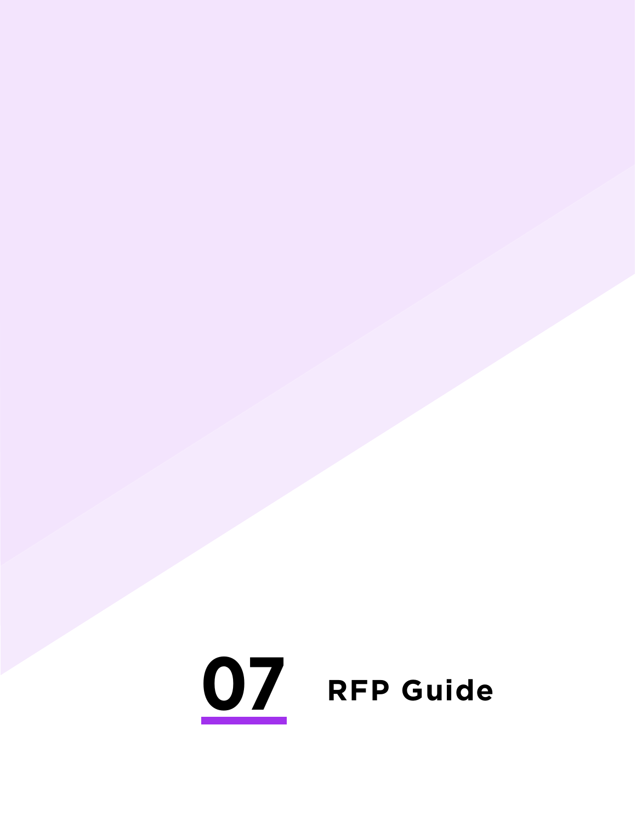# <span id="page-29-0"></span>**RFP Guide**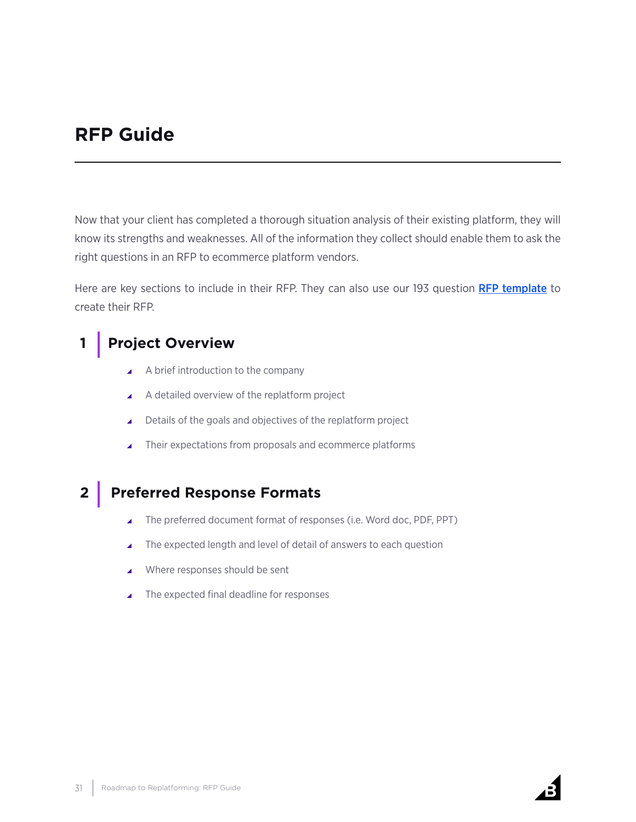## **RFP Guide**

Now that your client has completed a thorough situation analysis of their existing platform, they will know its strengths and weaknesses. All of the information they collect should enable them to ask the right questions in an RFP to ecommerce platform vendors.

Here are key sections to include in their RFP. They can also use our 193 question [RFP template](https://www.bigcommerce.com/blog/free-ecommerce-rfp-template/) to create their RFP.

## **1 Project Overview**

- $\blacktriangle$  A brief introduction to the company
- $\blacktriangle$  A detailed overview of the replatform project
- ▲ Details of the goals and objectives of the replatform project
- $\blacktriangle$  Their expectations from proposals and ecommerce platforms

## **2 Preferred Response Formats**

- ▲ The preferred document format of responses (i.e. Word doc, PDF, PPT)
- The expected length and level of detail of answers to each question
- $\blacktriangle$  Where responses should be sent
- $\blacktriangle$  The expected final deadline for responses

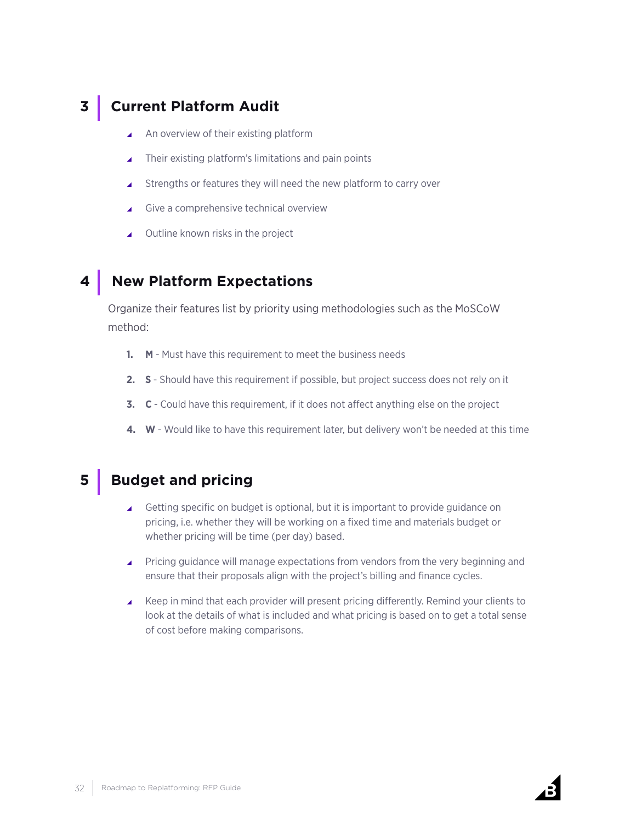## **3 Current Platform Audit**

- \ An overview of their existing platform
- $\blacktriangle$  Their existing platform's limitations and pain points
- $\triangle$  Strengths or features they will need the new platform to carry over
- \ Give a comprehensive technical overview
- \ Outline known risks in the project

## **4 New Platform Expectations**

Organize their features list by priority using methodologies such as the MoSCoW method:

- **1. M** Must have this requirement to meet the business needs
- **2. S**  Should have this requirement if possible, but project success does not rely on it
- **3. C** Could have this requirement, if it does not affect anything else on the project
- **4. W**  Would like to have this requirement later, but delivery won't be needed at this time

## **5** Budget and pricing

- ▲ Getting specific on budget is optional, but it is important to provide guidance on pricing, i.e. whether they will be working on a fixed time and materials budget or whether pricing will be time (per day) based.
- **Pricing guidance will manage expectations from vendors from the very beginning and** ensure that their proposals align with the project's billing and finance cycles.
- \ Keep in mind that each provider will present pricing differently. Remind your clients to look at the details of what is included and what pricing is based on to get a total sense of cost before making comparisons.

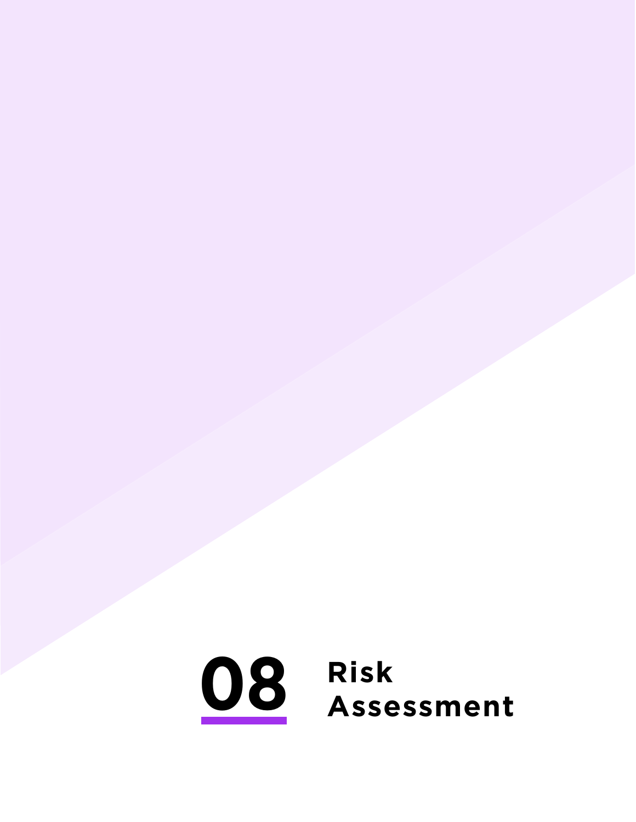<span id="page-32-0"></span>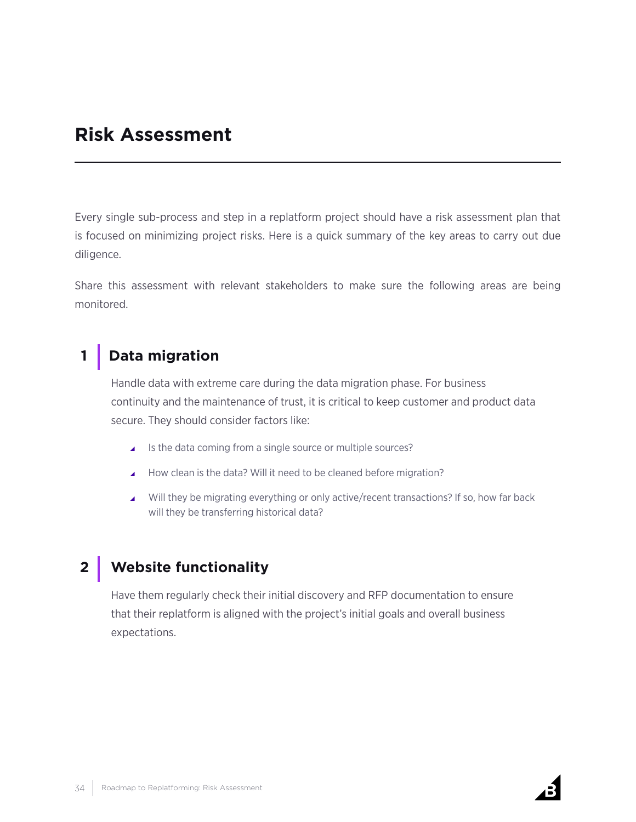## **Risk Assessment**

Every single sub-process and step in a replatform project should have a risk assessment plan that is focused on minimizing project risks. Here is a quick summary of the key areas to carry out due diligence.

Share this assessment with relevant stakeholders to make sure the following areas are being monitored.

## **1 Data migration**

Handle data with extreme care during the data migration phase. For business continuity and the maintenance of trust, it is critical to keep customer and product data secure. They should consider factors like:

- $\blacktriangle$  Is the data coming from a single source or multiple sources?
- How clean is the data? Will it need to be cleaned before migration?
- $\blacktriangle$  Will they be migrating everything or only active/recent transactions? If so, how far back will they be transferring historical data?

## **2 Website functionality**

Have them regularly check their initial discovery and RFP documentation to ensure that their replatform is aligned with the project's initial goals and overall business expectations.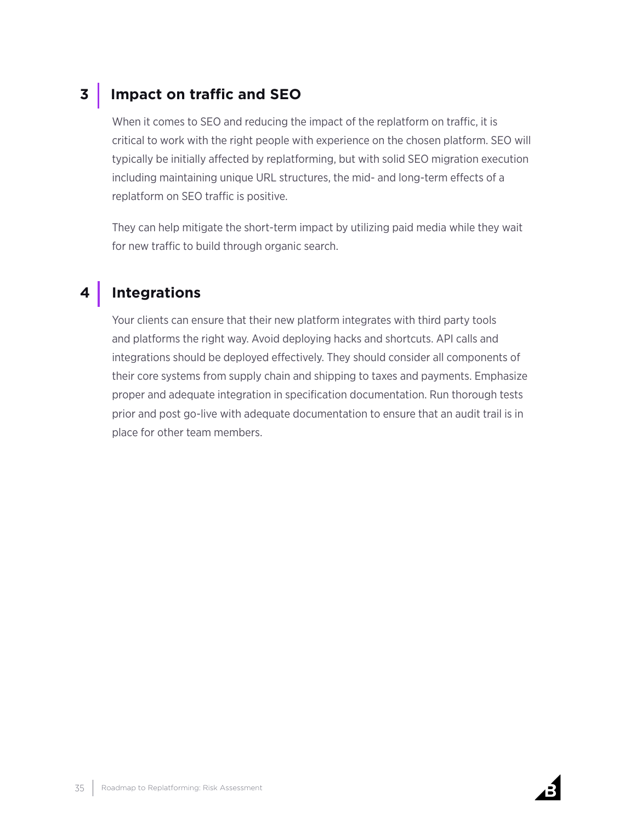## **3 Impact on traffic and SEO**

When it comes to SEO and reducing the impact of the replatform on traffic, it is critical to work with the right people with experience on the chosen platform. SEO will typically be initially affected by replatforming, but with solid SEO migration execution including maintaining unique URL structures, the mid- and long-term effects of a replatform on SEO traffic is positive.

They can help mitigate the short-term impact by utilizing paid media while they wait for new traffic to build through organic search.

## **4 Integrations**

Your clients can ensure that their new platform integrates with third party tools and platforms the right way. Avoid deploying hacks and shortcuts. API calls and integrations should be deployed effectively. They should consider all components of their core systems from supply chain and shipping to taxes and payments. Emphasize proper and adequate integration in specification documentation. Run thorough tests prior and post go-live with adequate documentation to ensure that an audit trail is in place for other team members.

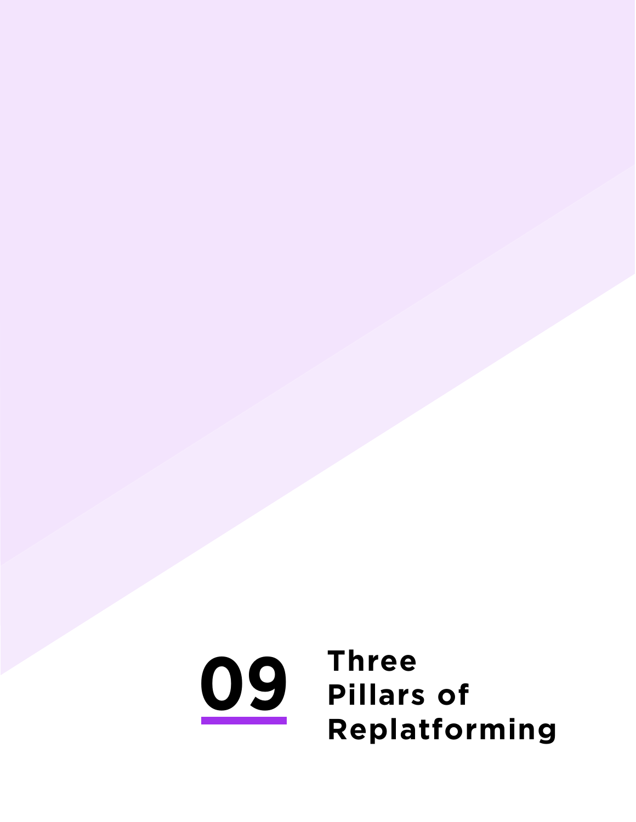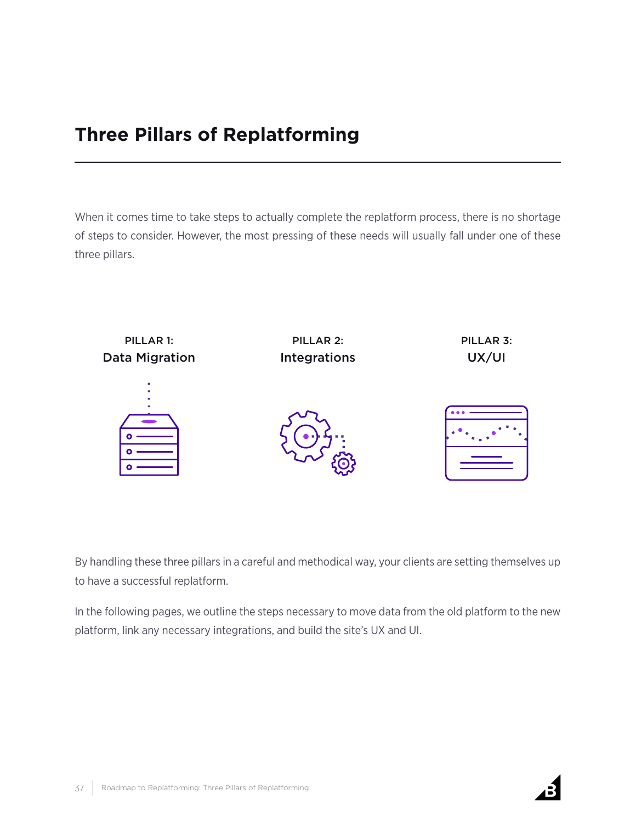## **Three Pillars of Replatforming**

When it comes time to take steps to actually complete the replatform process, there is no shortage of steps to consider. However, the most pressing of these needs will usually fall under one of these three pillars.



By handling these three pillars in a careful and methodical way, your clients are setting themselves up to have a successful replatform.

In the following pages, we outline the steps necessary to move data from the old platform to the new platform, link any necessary integrations, and build the site's UX and UI.

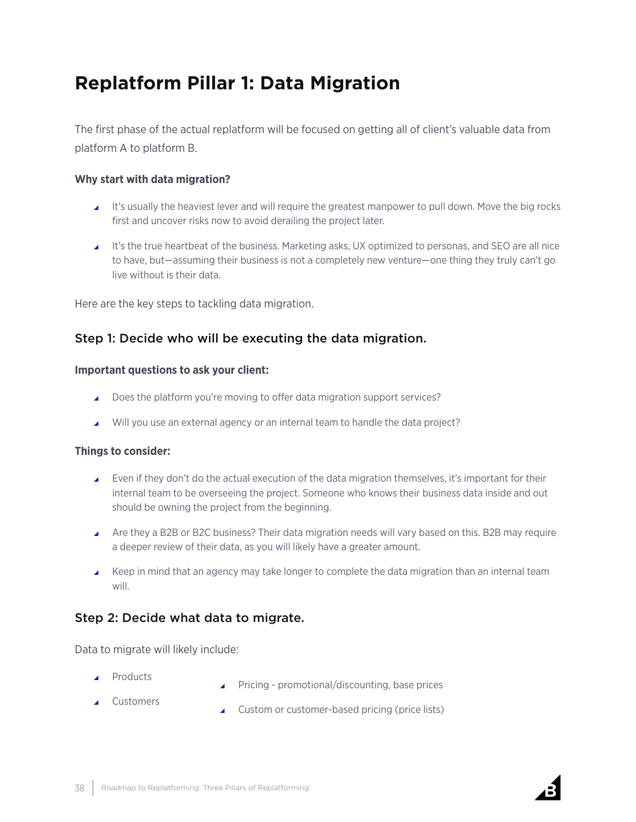## <span id="page-37-0"></span>**Replatform Pillar 1: Data Migration**

The first phase of the actual replatform will be focused on getting all of client's valuable data from platform A to platform B.

#### **Why start with data migration?**

- It's usually the heaviest lever and will require the greatest manpower to pull down. Move the big rocks first and uncover risks now to avoid derailing the project later.
- $\perp$  It's the true heartbeat of the business. Marketing asks, UX optimized to personas, and SEO are all nice to have, but—assuming their business is not a completely new venture—one thing they truly can't go live without is their data.

Here are the key steps to tackling data migration.

## Step 1: Decide who will be executing the data migration.

#### **Important questions to ask your client:**

- Does the platform you're moving to offer data migration support services?
- Will you use an external agency or an internal team to handle the data project?

#### **Things to consider:**

- Even if they don't do the actual execution of the data migration themselves, it's important for their internal team to be overseeing the project. Someone who knows their business data inside and out should be owning the project from the beginning.
- Are they a B2B or B2C business? Their data migration needs will vary based on this. B2B may require a deeper review of their data, as you will likely have a greater amount.
- $\blacktriangle$  Keep in mind that an agency may take longer to complete the data migration than an internal team will.

## Step 2: Decide what data to migrate.

Data to migrate will likely include:

- **Products**
- $\blacktriangle$  Pricing promotional/discounting, base prices
- ▲ Customers
- $\triangle$  Custom or customer-based pricing (price lists)

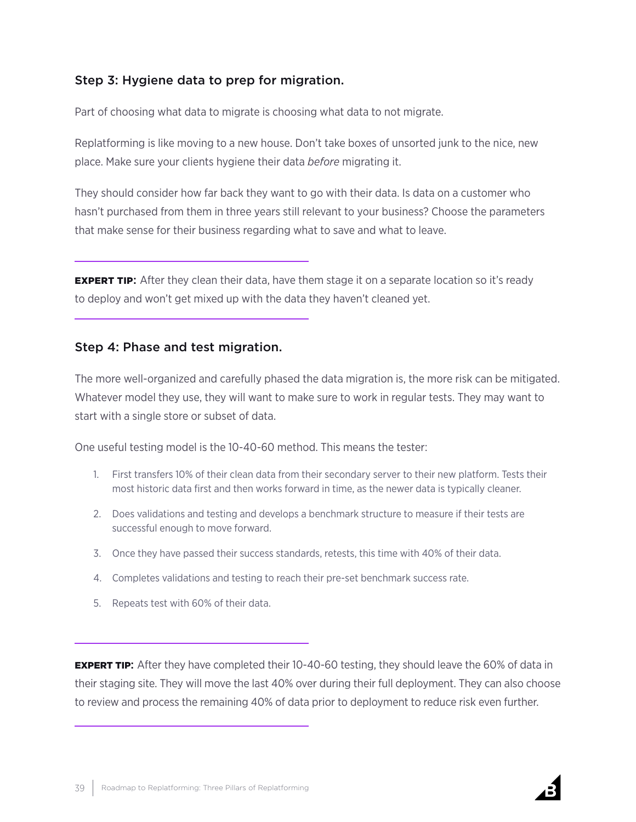## Step 3: Hygiene data to prep for migration.

Part of choosing what data to migrate is choosing what data to not migrate.

Replatforming is like moving to a new house. Don't take boxes of unsorted junk to the nice, new place. Make sure your clients hygiene their data *before* migrating it.

They should consider how far back they want to go with their data. Is data on a customer who hasn't purchased from them in three years still relevant to your business? Choose the parameters that make sense for their business regarding what to save and what to leave.

**EXPERT TIP:** After they clean their data, have them stage it on a separate location so it's ready to deploy and won't get mixed up with the data they haven't cleaned yet.

## Step 4: Phase and test migration.

The more well-organized and carefully phased the data migration is, the more risk can be mitigated. Whatever model they use, they will want to make sure to work in regular tests. They may want to start with a single store or subset of data.

One useful testing model is the 10-40-60 method. This means the tester:

- 1. First transfers 10% of their clean data from their secondary server to their new platform. Tests their most historic data first and then works forward in time, as the newer data is typically cleaner.
- 2. Does validations and testing and develops a benchmark structure to measure if their tests are successful enough to move forward.
- 3. Once they have passed their success standards, retests, this time with 40% of their data.
- 4. Completes validations and testing to reach their pre-set benchmark success rate.
- 5. Repeats test with 60% of their data.

**EXPERT TIP:** After they have completed their 10-40-60 testing, they should leave the 60% of data in their staging site. They will move the last 40% over during their full deployment. They can also choose to review and process the remaining 40% of data prior to deployment to reduce risk even further.

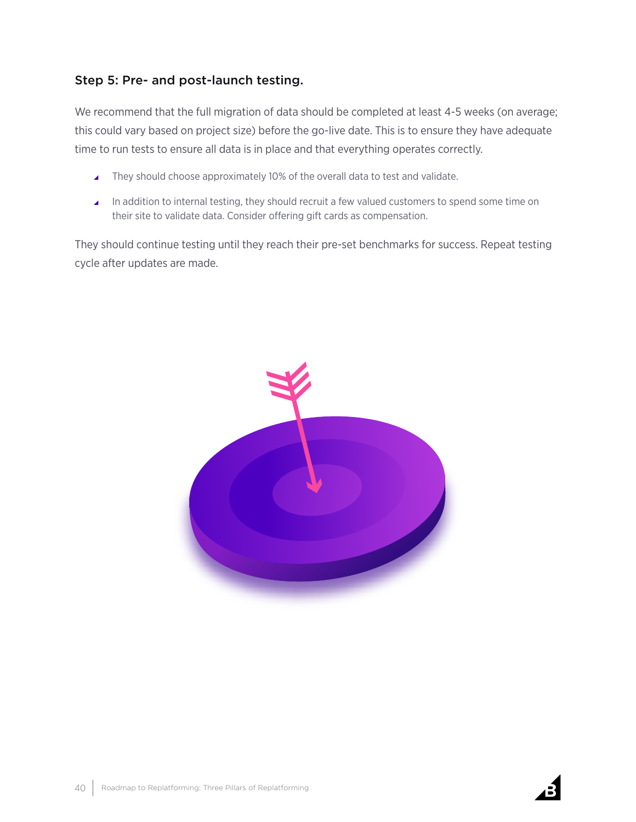## Step 5: Pre- and post-launch testing.

We recommend that the full migration of data should be completed at least 4-5 weeks (on average; this could vary based on project size) before the go-live date. This is to ensure they have adequate time to run tests to ensure all data is in place and that everything operates correctly.

- ▲ They should choose approximately 10% of the overall data to test and validate.
- ▲ In addition to internal testing, they should recruit a few valued customers to spend some time on their site to validate data. Consider offering gift cards as compensation.

They should continue testing until they reach their pre-set benchmarks for success. Repeat testing cycle after updates are made.



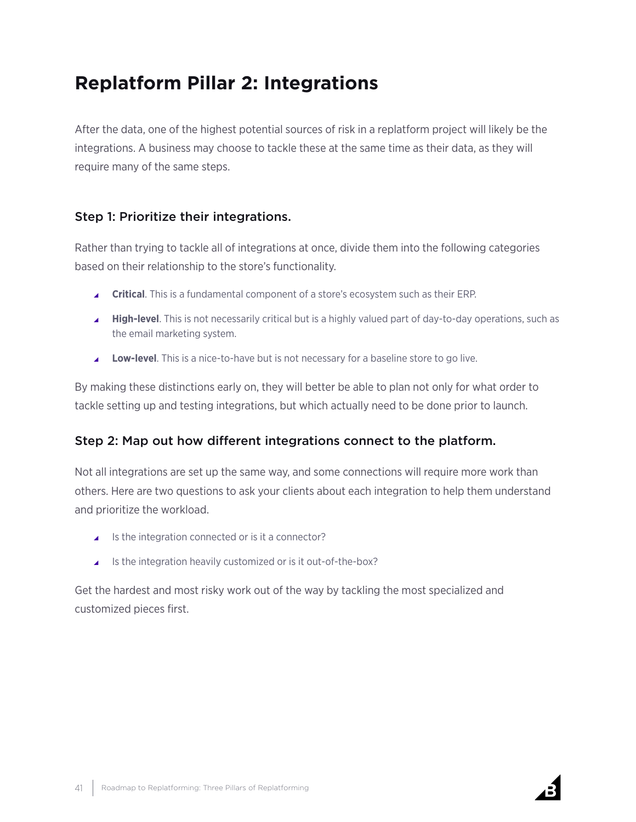## <span id="page-40-0"></span>**Replatform Pillar 2: Integrations**

After the data, one of the highest potential sources of risk in a replatform project will likely be the integrations. A business may choose to tackle these at the same time as their data, as they will require many of the same steps.

## Step 1: Prioritize their integrations.

Rather than trying to tackle all of integrations at once, divide them into the following categories based on their relationship to the store's functionality.

- \ **Critical**. This is a fundamental component of a store's ecosystem such as their ERP.
- **High-level**. This is not necessarily critical but is a highly valued part of day-to-day operations, such as the email marketing system.
- **Low-level**. This is a nice-to-have but is not necessary for a baseline store to go live.

By making these distinctions early on, they will better be able to plan not only for what order to tackle setting up and testing integrations, but which actually need to be done prior to launch.

## Step 2: Map out how different integrations connect to the platform.

Not all integrations are set up the same way, and some connections will require more work than others. Here are two questions to ask your clients about each integration to help them understand and prioritize the workload.

- $\blacktriangle$  Is the integration connected or is it a connector?
- $\blacksquare$  Is the integration heavily customized or is it out-of-the-box?

Get the hardest and most risky work out of the way by tackling the most specialized and customized pieces first.

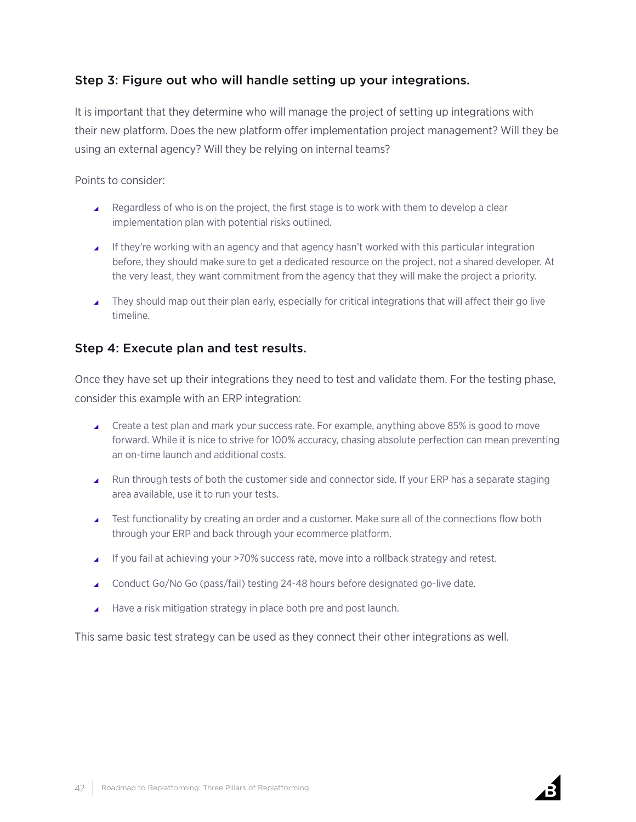## Step 3: Figure out who will handle setting up your integrations.

It is important that they determine who will manage the project of setting up integrations with their new platform. Does the new platform offer implementation project management? Will they be using an external agency? Will they be relying on internal teams?

Points to consider:

- $\blacktriangle$  Regardless of who is on the project, the first stage is to work with them to develop a clear implementation plan with potential risks outlined.
- If they're working with an agency and that agency hasn't worked with this particular integration before, they should make sure to get a dedicated resource on the project, not a shared developer. At the very least, they want commitment from the agency that they will make the project a priority.
- They should map out their plan early, especially for critical integrations that will affect their go live timeline.

## Step 4: Execute plan and test results.

Once they have set up their integrations they need to test and validate them. For the testing phase, consider this example with an ERP integration:

- $\triangle$  Create a test plan and mark your success rate. For example, anything above 85% is good to move forward. While it is nice to strive for 100% accuracy, chasing absolute perfection can mean preventing an on-time launch and additional costs.
- $\blacktriangle$  Run through tests of both the customer side and connector side. If your ERP has a separate staging area available, use it to run your tests.
- ▲ Test functionality by creating an order and a customer. Make sure all of the connections flow both through your ERP and back through your ecommerce platform.
- If you fail at achieving your >70% success rate, move into a rollback strategy and retest.
- $\triangle$  Conduct Go/No Go (pass/fail) testing 24-48 hours before designated go-live date.
- $\blacktriangle$  Have a risk mitigation strategy in place both pre and post launch.

This same basic test strategy can be used as they connect their other integrations as well.

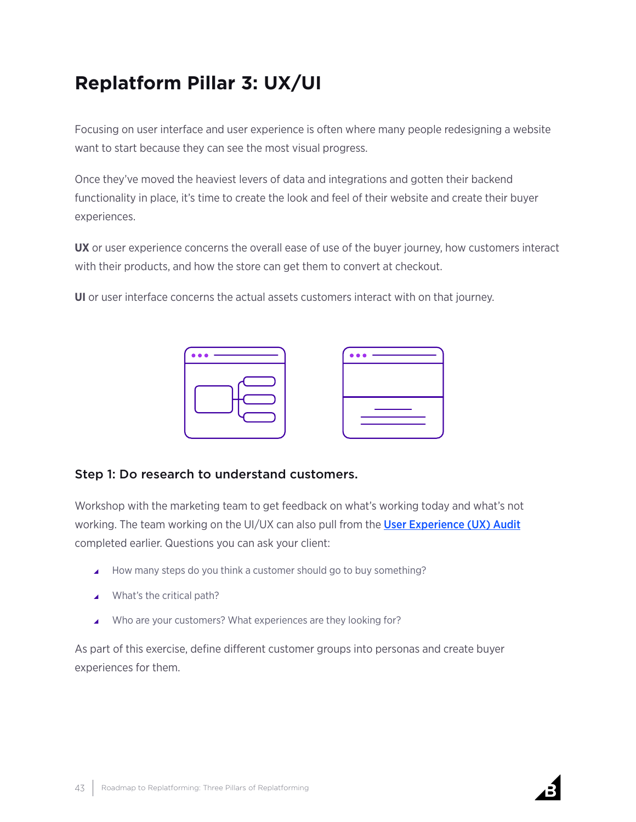## <span id="page-42-0"></span>**Replatform Pillar 3: UX/UI**

Focusing on user interface and user experience is often where many people redesigning a website want to start because they can see the most visual progress.

Once they've moved the heaviest levers of data and integrations and gotten their backend functionality in place, it's time to create the look and feel of their website and create their buyer experiences.

**UX** or user experience concerns the overall ease of use of the buyer journey, how customers interact with their products, and how the store can get them to convert at checkout.

**UI** or user interface concerns the actual assets customers interact with on that journey.



## Step 1: Do research to understand customers.

Workshop with the marketing team to get feedback on what's working today and what's not working. The team working on the UI/UX can also pull from the [User Experience \(UX\) Audit](#page-10-0) completed earlier. Questions you can ask your client:

- ▲ How many steps do you think a customer should go to buy something?
- $\blacktriangle$  What's the critical path?
- ▲ Who are your customers? What experiences are they looking for?

As part of this exercise, define different customer groups into personas and create buyer experiences for them.

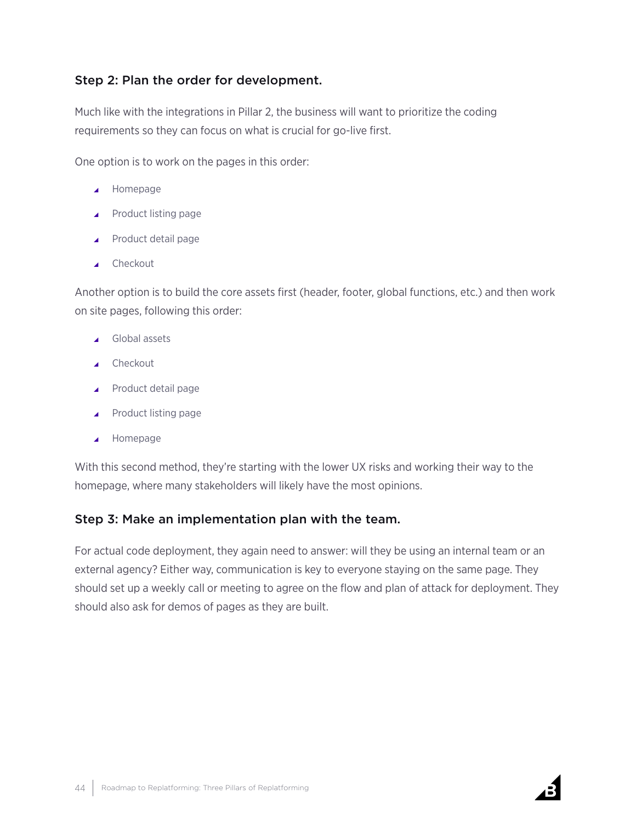## Step 2: Plan the order for development.

Much like with the integrations in Pillar 2, the business will want to prioritize the coding requirements so they can focus on what is crucial for go-live first.

One option is to work on the pages in this order:

- $\blacktriangle$  Homepage
- $\blacktriangle$  Product listing page
- $\blacktriangle$  Product detail page
- $\triangle$  Checkout

Another option is to build the core assets first (header, footer, global functions, etc.) and then work on site pages, following this order:

- $\triangle$  Global assets
- $\triangle$  Checkout
- $\blacktriangle$  Product detail page
- $\blacktriangle$  Product listing page
- $\blacktriangle$  Homepage

With this second method, they're starting with the lower UX risks and working their way to the homepage, where many stakeholders will likely have the most opinions.

## Step 3: Make an implementation plan with the team.

For actual code deployment, they again need to answer: will they be using an internal team or an external agency? Either way, communication is key to everyone staying on the same page. They should set up a weekly call or meeting to agree on the flow and plan of attack for deployment. They should also ask for demos of pages as they are built.

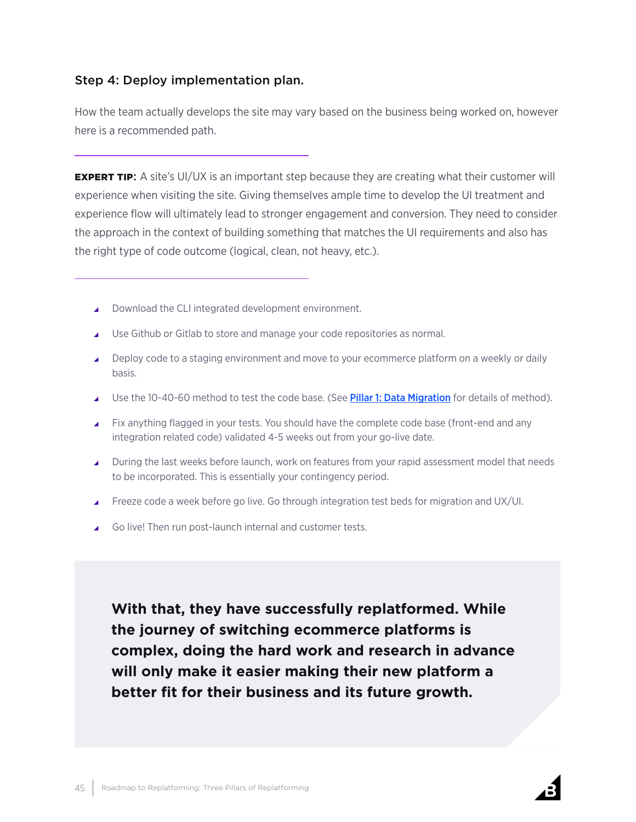## Step 4: Deploy implementation plan.

How the team actually develops the site may vary based on the business being worked on, however here is a recommended path.

**EXPERT TIP:** A site's UI/UX is an important step because they are creating what their customer will experience when visiting the site. Giving themselves ample time to develop the UI treatment and experience flow will ultimately lead to stronger engagement and conversion. They need to consider the approach in the context of building something that matches the UI requirements and also has the right type of code outcome (logical, clean, not heavy, etc.).

- ▲ Download the CLI integrated development environment.
- $\blacktriangle$  Use Github or Gitlab to store and manage your code repositories as normal.
- ▲ Deploy code to a staging environment and move to your ecommerce platform on a weekly or daily basis.
- △ Use the 10-40-60 method to test the code base. (See [Pillar 1: Data Migration](#page-37-0) for details of method).
- Fix anything flagged in your tests. You should have the complete code base (front-end and any integration related code) validated 4-5 weeks out from your go-live date.
- $\Box$  During the last weeks before launch, work on features from your rapid assessment model that needs to be incorporated. This is essentially your contingency period.
- ▲ Freeze code a week before go live. Go through integration test beds for migration and UX/UI.
- ▲ Go live! Then run post-launch internal and customer tests.

**With that, they have successfully replatformed. While the journey of switching ecommerce platforms is complex, doing the hard work and research in advance will only make it easier making their new platform a better fit for their business and its future growth.**